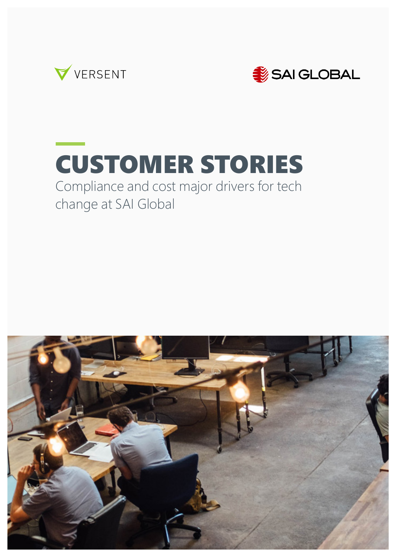



# CUSTOMER STORIES

#### Compliance and cost major drivers for tech change at SAI Global

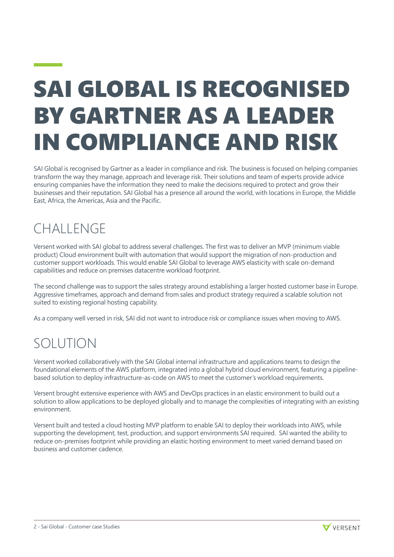## SAI GLOBAL IS RECOGNISED BY GARTNER AS A LEADER IN COMPLIANCE AND RISK

SAI Global is recognised by Gartner as a leader in compliance and risk. The business is focused on helping companies transform the way they manage, approach and leverage risk. Their solutions and team of experts provide advice ensuring companies have the information they need to make the decisions required to protect and grow their businesses and their reputation. SAI Global has a presence all around the world, with locations in Europe, the Middle East, Africa, the Americas, Asia and the Pacific.

### **CHALLENGE**

<u> 1999 - Johann Barnett, f</u>

Versent worked with SAI global to address several challenges. The first was to deliver an MVP (minimum viable product) Cloud environment built with automation that would support the migration of non-production and customer support workloads. This would enable SAI Global to leverage AWS elasticity with scale on-demand capabilities and reduce on premises datacentre workload footprint.

The second challenge was to support the sales strategy around establishing a larger hosted customer base in Europe. Aggressive timeframes, approach and demand from sales and product strategy required a scalable solution not suited to existing regional hosting capability.

As a company well versed in risk, SAI did not want to introduce risk or compliance issues when moving to AWS.

#### SOLUTION

Versent worked collaboratively with the SAI Global internal infrastructure and applications teams to design the foundational elements of the AWS platform, integrated into a global hybrid cloud environment, featuring a pipelinebased solution to deploy infrastructure-as-code on AWS to meet the customer's workload requirements.

Versent brought extensive experience with AWS and DevOps practices in an elastic environment to build out a solution to allow applications to be deployed globally and to manage the complexities of integrating with an existing environment.

Versent built and tested a cloud hosting MVP platform to enable SAI to deploy their workloads into AWS, while supporting the development, test, production, and support environments SAI required. SAI wanted the ability to reduce on-premises footprint while providing an elastic hosting environment to meet varied demand based on business and customer cadence.

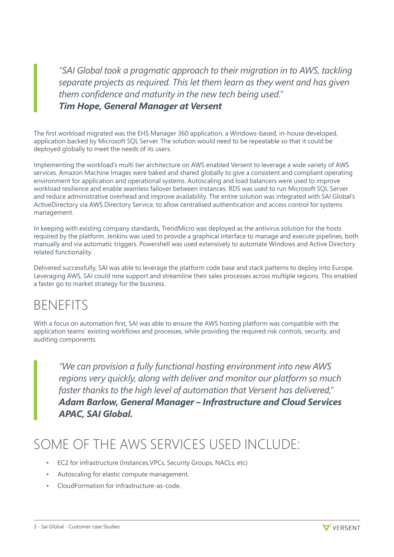"SAI Global took a pragmatic approach to their migration in to AWS, tackling *separate projects as required. This let them learn as they went and has given them confidence and maturity in the new tech being used." Tim Hope, General Manager at Versent*

The first workload migrated was the EHS Manager 360 application, a Windows-based, in-house developed, application backed by Microsoft SQL Server. The solution would need to be repeatable so that it could be deployed globally to meet the needs of its users.

Implementing the workload's multi tier architecture on AWS enabled Versent to leverage a wide variety of AWS services. Amazon Machine Images were baked and shared globally to give a consistent and compliant operating environment for application and operational systems. Autoscaling and load balancers were used to improve workload resilience and enable seamless failover between instances. RDS was used to run Microsoft SQL Server and reduce administrative overhead and improve availability. The entire solution was integrated with SAI Global's ActiveDirectory via AWS Directory Service, to allow centralised authentication and access control for systems management.

In keeping with existing company standards, TrendMicro was deployed as the antivirus solution for the hosts required by the platform. Jenkins was used to provide a graphical interface to manage and execute pipelines, both manually and via automatic triggers. Powershell was used extensively to automate Windows and Active Directory related functionality.

Delivered successfully, SAI was able to leverage the platform code base and stack patterns to deploy into Europe. Leveraging AWS, SAI could now support and streamline their sales processes across multiple regions. This enabled a faster go to market strategy for the business.

#### **BENEFITS**

With a focus on automation first, SAI was able to ensure the AWS hosting platform was compatible with the application teams' existing workflows and processes, while providing the required risk controls, security, and auditing components.

*"We can provision a fully functional hosting environment into new AWS regions very quickly, along with deliver and monitor our platform so much faster thanks to the high level of automation that Versent has delivered," Adam Barlow, General Manager – Infrastructure and Cloud Services APAC, SAI Global.*

#### SOME OF THE AWS SERVICES USED INCLUDE:

- EC2 for infrastructure (Instances,VPCs, Security Groups, NACLs, etc)
- Autoscaling for elastic compute management.
- CloudFormation for infrastructure-as-code.